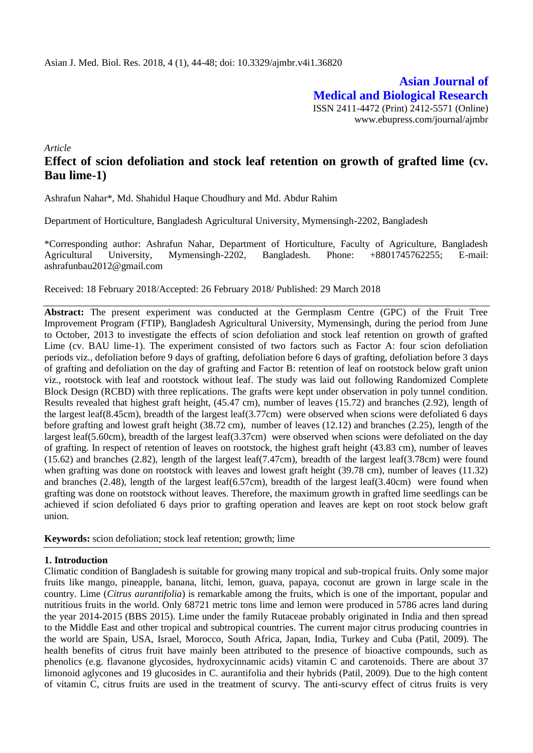**Asian Journal of Medical and Biological Research** ISSN 2411-4472 (Print) 2412-5571 (Online) www.ebupress.com/journal/ajmbr

*Article*

# **Effect of scion defoliation and stock leaf retention on growth of grafted lime (cv. Bau lime-1)**

Ashrafun Nahar\*, Md. Shahidul Haque Choudhury and Md. Abdur Rahim

Department of Horticulture, Bangladesh Agricultural University, Mymensingh-2202, Bangladesh

\*Corresponding author: Ashrafun Nahar, Department of Horticulture, Faculty of Agriculture, Bangladesh Agricultural University, Mymensingh-2202, Bangladesh. Phone: +8801745762255; E-mail: ashrafunbau2012@gmail.com

Received: 18 February 2018/Accepted: 26 February 2018/ Published: 29 March 2018

**Abstract:** The present experiment was conducted at the Germplasm Centre (GPC) of the Fruit Tree Improvement Program (FTIP), Bangladesh Agricultural University, Mymensingh, during the period from June to October, 2013 to investigate the effects of scion defoliation and stock leaf retention on growth of grafted Lime (cv. BAU lime-1). The experiment consisted of two factors such as Factor A: four scion defoliation periods viz., defoliation before 9 days of grafting, defoliation before 6 days of grafting, defoliation before 3 days of grafting and defoliation on the day of grafting and Factor B: retention of leaf on rootstock below graft union viz., rootstock with leaf and rootstock without leaf. The study was laid out following Randomized Complete Block Design (RCBD) with three replications. The grafts were kept under observation in poly tunnel condition. Results revealed that highest graft height, (45.47 cm), number of leaves (15.72) and branches (2.92), length of the largest leaf(8.45cm), breadth of the largest leaf(3.77cm) were observed when scions were defoliated 6 days before grafting and lowest graft height (38.72 cm), number of leaves (12.12) and branches (2.25), length of the largest leaf(5.60cm), breadth of the largest leaf(3.37cm) were observed when scions were defoliated on the day of grafting. In respect of retention of leaves on rootstock, the highest graft height (43.83 cm), number of leaves (15.62) and branches (2.82), length of the largest leaf(7.47cm), breadth of the largest leaf(3.78cm) were found when grafting was done on rootstock with leaves and lowest graft height (39.78 cm), number of leaves (11.32) and branches (2.48), length of the largest leaf(6.57cm), breadth of the largest leaf(3.40cm) were found when grafting was done on rootstock without leaves. Therefore, the maximum growth in grafted lime seedlings can be achieved if scion defoliated 6 days prior to grafting operation and leaves are kept on root stock below graft union.

**Keywords:** scion defoliation; stock leaf retention; growth; lime

#### **1. Introduction**

Climatic condition of Bangladesh is suitable for growing many tropical and sub-tropical fruits. Only some major fruits like mango, pineapple, banana, litchi, lemon, guava, papaya, coconut are grown in large scale in the country. Lime (*Citrus aurantifolia*) is remarkable among the fruits, which is one of the important, popular and nutritious fruits in the world. Only 68721 metric tons lime and lemon were produced in 5786 acres land during the year 2014-2015 (BBS 2015). Lime under the family Rutaceae probably originated in India and then spread to the Middle East and other tropical and subtropical countries. The current major citrus producing countries in the world are Spain, USA, Israel, Morocco, South Africa, Japan, India, Turkey and Cuba (Patil, 2009). The health benefits of citrus fruit have mainly been attributed to the presence of bioactive compounds, such as phenolics (e.g. flavanone glycosides, hydroxycinnamic acids) vitamin C and carotenoids. There are about 37 limonoid aglycones and 19 glucosides in C. aurantifolia and their hybrids (Patil, 2009). Due to the high content of vitamin C, citrus fruits are used in the treatment of scurvy. The anti-scurvy effect of citrus fruits is very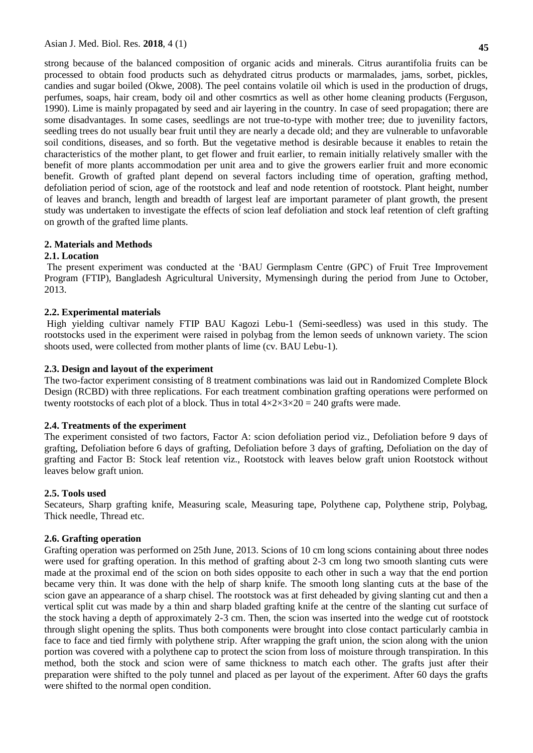strong because of the balanced composition of organic acids and minerals. Citrus aurantifolia fruits can be processed to obtain food products such as dehydrated citrus products or marmalades, jams, sorbet, pickles, candies and sugar boiled (Okwe, 2008). The peel contains volatile oil which is used in the production of drugs, perfumes, soaps, hair cream, body oil and other cosmrtics as well as other home cleaning products (Ferguson, 1990). Lime is mainly propagated by seed and air layering in the country. In case of seed propagation; there are some disadvantages. In some cases, seedlings are not true-to-type with mother tree; due to juvenility factors, seedling trees do not usually bear fruit until they are nearly a decade old; and they are vulnerable to unfavorable soil conditions, diseases, and so forth. But the vegetative method is desirable because it enables to retain the characteristics of the mother plant, to get flower and fruit earlier, to remain initially relatively smaller with the benefit of more plants accommodation per unit area and to give the growers earlier fruit and more economic benefit. Growth of grafted plant depend on several factors including time of operation, grafting method, defoliation period of scion, age of the rootstock and leaf and node retention of rootstock. Plant height, number of leaves and branch, length and breadth of largest leaf are important parameter of plant growth, the present study was undertaken to investigate the effects of scion leaf defoliation and stock leaf retention of cleft grafting on growth of the grafted lime plants.

#### **2. Materials and Methods**

#### **2.1. Location**

The present experiment was conducted at the 'BAU Germplasm Centre (GPC) of Fruit Tree Improvement Program (FTIP), Bangladesh Agricultural University, Mymensingh during the period from June to October, 2013.

#### **2.2. Experimental materials**

High yielding cultivar namely FTIP BAU Kagozi Lebu-1 (Semi-seedless) was used in this study. The rootstocks used in the experiment were raised in polybag from the lemon seeds of unknown variety. The scion shoots used, were collected from mother plants of lime (cv. BAU Lebu-1).

#### **2.3. Design and layout of the experiment**

The two-factor experiment consisting of 8 treatment combinations was laid out in Randomized Complete Block Design (RCBD) with three replications. For each treatment combination grafting operations were performed on twenty rootstocks of each plot of a block. Thus in total  $4 \times 2 \times 3 \times 20 = 240$  grafts were made.

#### **2.4. Treatments of the experiment**

The experiment consisted of two factors, Factor A: scion defoliation period viz., Defoliation before 9 days of grafting, Defoliation before 6 days of grafting, Defoliation before 3 days of grafting, Defoliation on the day of grafting and Factor B: Stock leaf retention viz., Rootstock with leaves below graft union Rootstock without leaves below graft union.

#### **2.5. Tools used**

Secateurs, Sharp grafting knife, Measuring scale, Measuring tape, Polythene cap, Polythene strip, Polybag, Thick needle, Thread etc.

#### **2.6. Grafting operation**

Grafting operation was performed on 25th June, 2013. Scions of 10 cm long scions containing about three nodes were used for grafting operation. In this method of grafting about 2-3 cm long two smooth slanting cuts were made at the proximal end of the scion on both sides opposite to each other in such a way that the end portion became very thin. It was done with the help of sharp knife. The smooth long slanting cuts at the base of the scion gave an appearance of a sharp chisel. The rootstock was at first deheaded by giving slanting cut and then a vertical split cut was made by a thin and sharp bladed grafting knife at the centre of the slanting cut surface of the stock having a depth of approximately 2-3 cm. Then, the scion was inserted into the wedge cut of rootstock through slight opening the splits. Thus both components were brought into close contact particularly cambia in face to face and tied firmly with polythene strip. After wrapping the graft union, the scion along with the union portion was covered with a polythene cap to protect the scion from loss of moisture through transpiration. In this method, both the stock and scion were of same thickness to match each other. The grafts just after their preparation were shifted to the poly tunnel and placed as per layout of the experiment. After 60 days the grafts were shifted to the normal open condition.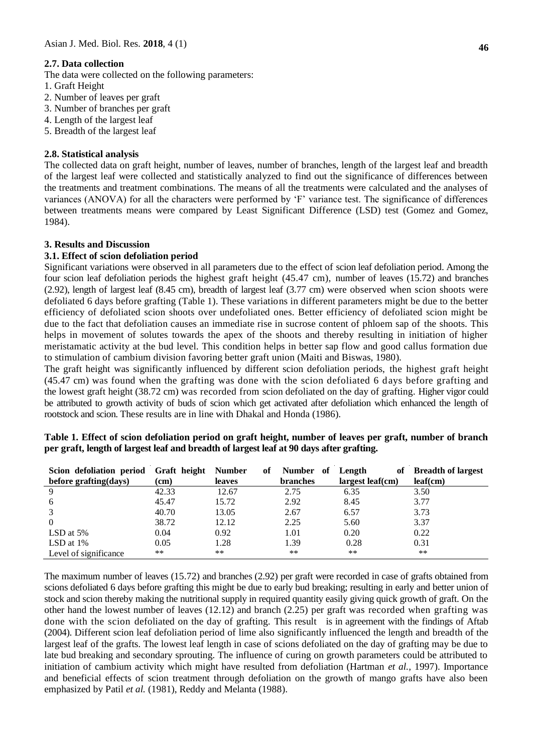## **2.7. Data collection**

The data were collected on the following parameters:

- 1. Graft Height
- 2. Number of leaves per graft
- 3. Number of branches per graft
- 4. Length of the largest leaf
- 5. Breadth of the largest leaf

## **2.8. Statistical analysis**

The collected data on graft height, number of leaves, number of branches, length of the largest leaf and breadth of the largest leaf were collected and statistically analyzed to find out the significance of differences between the treatments and treatment combinations. The means of all the treatments were calculated and the analyses of variances (ANOVA) for all the characters were performed by 'F' variance test. The significance of differences between treatments means were compared by Least Significant Difference (LSD) test (Gomez and Gomez, 1984).

## **3. Results and Discussion**

## **3.1. Effect of scion defoliation period**

Significant variations were observed in all parameters due to the effect of scion leaf defoliation period. Among the four scion leaf defoliation periods the highest graft height (45.47 cm), number of leaves (15.72) and branches (2.92), length of largest leaf (8.45 cm), breadth of largest leaf (3.77 cm) were observed when scion shoots were defoliated 6 days before grafting (Table 1). These variations in different parameters might be due to the better efficiency of defoliated scion shoots over undefoliated ones. Better efficiency of defoliated scion might be due to the fact that defoliation causes an immediate rise in sucrose content of phloem sap of the shoots. This helps in movement of solutes towards the apex of the shoots and thereby resulting in initiation of higher meristamatic activity at the bud level. This condition helps in better sap flow and good callus formation due to stimulation of cambium division favoring better graft union (Maiti and Biswas, 1980).

The graft height was significantly influenced by different scion defoliation periods, the highest graft height (45.47 cm) was found when the grafting was done with the scion defoliated 6 days before grafting and the lowest graft height (38.72 cm) was recorded from scion defoliated on the day of grafting. Higher vigor could be attributed to growth activity of buds of scion which get activated after defoliation which enhanced the length of rootstock and scion. These results are in line with Dhakal and Honda (1986).

| Table 1. Effect of scion defoliation period on graft height, number of leaves per graft, number of branch |  |
|-----------------------------------------------------------------------------------------------------------|--|
| per graft, length of largest leaf and breadth of largest leaf at 90 days after grafting.                  |  |

| Scion defoliation period | Graft height | <b>Number</b> | of | Number of       | Length<br>of     | <b>Breadth of largest</b> |
|--------------------------|--------------|---------------|----|-----------------|------------------|---------------------------|
| before grafting(days)    | $\rm (cm)$   | leaves        |    | <b>branches</b> | largest leaf(cm) | leaf(cm)                  |
| 9                        | 42.33        | 12.67         |    | 2.75            | 6.35             | 3.50                      |
| 6                        | 45.47        | 15.72         |    | 2.92            | 8.45             | 3.77                      |
| 3                        | 40.70        | 13.05         |    | 2.67            | 6.57             | 3.73                      |
| $\overline{0}$           | 38.72        | 12.12         |    | 2.25            | 5.60             | 3.37                      |
| LSD at $5%$              | 0.04         | 0.92          |    | 1.01            | 0.20             | 0.22                      |
| LSD at $1\%$             | 0.05         | 1.28          |    | 1.39            | 0.28             | 0.31                      |
| Level of significance    | $***$        | $***$         |    | $**$            | $***$            | $***$                     |

The maximum number of leaves (15.72) and branches (2.92) per graft were recorded in case of grafts obtained from scions defoliated 6 days before grafting this might be due to early bud breaking; resulting in early and better union of stock and scion thereby making the nutritional supply in required quantity easily giving quick growth of graft. On the other hand the lowest number of leaves (12.12) and branch (2.25) per graft was recorded when grafting was done with the scion defoliated on the day of grafting. This result is in agreement with the findings of Aftab (2004). Different scion leaf defoliation period of lime also significantly influenced the length and breadth of the largest leaf of the grafts. The lowest leaf length in case of scions defoliated on the day of grafting may be due to late bud breaking and secondary sprouting. The influence of curing on growth parameters could be attributed to initiation of cambium activity which might have resulted from defoliation (Hartman *et al.,* 1997). Importance and beneficial effects of scion treatment through defoliation on the growth of mango grafts have also been emphasized by Patil et al. (1981), Reddy and Melanta (1988).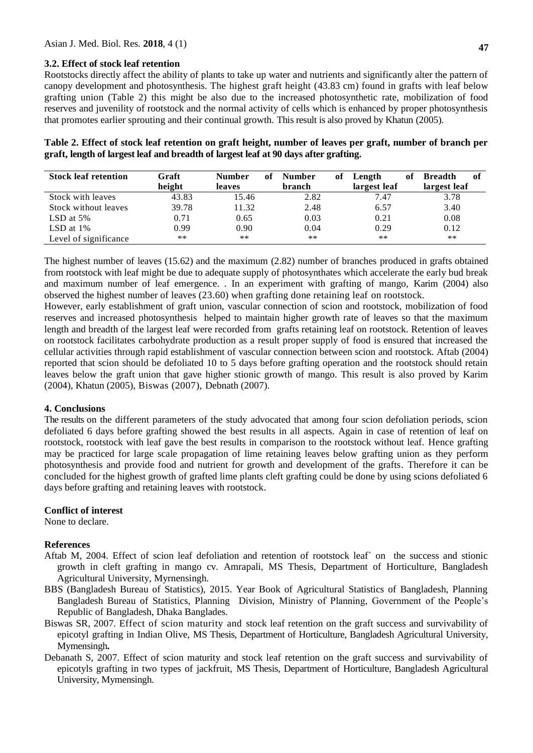## **3.2. Effect of stock leaf retention**

Rootstocks directly affect the ability of plants to take up water and nutrients and significantly alter the pattern of canopy development and photosynthesis. The highest graft height (43.83 cm) found in grafts with leaf below grafting union (Table 2) this might be also due to the increased photosynthetic rate, mobilization of food reserves and juvenility of rootstock and the normal activity of cells which is enhanced by proper photosynthesis that promotes earlier sprouting and their continual growth. This result is also proved by Khatun (2005).

| Table 2. Effect of stock leaf retention on graft height, number of leaves per graft, number of branch per |  |
|-----------------------------------------------------------------------------------------------------------|--|
| graft, length of largest leaf and breadth of largest leaf at 90 days after grafting.                      |  |

| <b>Stock leaf retention</b> | Graft  | <b>Number</b> | of | Number | of | Length       | of | <b>Breadth</b> | -of |
|-----------------------------|--------|---------------|----|--------|----|--------------|----|----------------|-----|
|                             | height | leaves        |    | branch |    | largest leaf |    | largest leaf   |     |
| Stock with leaves           | 43.83  | 15.46         |    | 2.82   |    | 7.47         |    | 3.78           |     |
| Stock without leaves        | 39.78  | 11.32         |    | 2.48   |    | 6.57         |    | 3.40           |     |
| LSD at $5\%$                | 0.71   | 0.65          |    | 0.03   |    | 0.21         |    | 0.08           |     |
| LSD at $1\%$                | 0.99   | 0.90          |    | 0.04   |    | 0.29         |    | 0.12           |     |
| Level of significance       | $***$  | $**$          |    | $**$   |    | $***$        |    | $***$          |     |

The highest number of leaves (15.62) and the maximum (2.82) number of branches produced in grafts obtained from rootstock with leaf might be due to adequate supply of photosynthates which accelerate the early bud break and maximum number of leaf emergence. . In an experiment with grafting of mango, Karim (2004) also observed the highest number of leaves (23.60) when grafting done retaining leaf on rootstock.

However, early establishment of graft union, vascular connection of scion and rootstock, mobilization of food reserves and increased photosynthesis helped to maintain higher growth rate of leaves so that the maximum length and breadth of the largest leaf were recorded from grafts retaining leaf on rootstock. Retention of leaves on rootstock facilitates carbohydrate production as a result proper supply of food is ensured that increased the cellular activities through rapid establishment of vascular connection between scion and rootstock. Aftab (2004) reported that scion should be defoliated 10 to 5 days before grafting operation and the rootstock should retain leaves below the graft union that gave higher stionic growth of mango. This result is also proved by Karim (2004), Khatun (2005), Biswas (2007), Debnath (2007).

# **4. Conclusions**

The results on the different parameters of the study advocated that among four scion defoliation periods, scion defoliated 6 days before grafting showed the best results in all aspects. Again in case of retention of leaf on rootstock, rootstock with leaf gave the best results in comparison to the rootstock without leaf. Hence grafting may be practiced for large scale propagation of lime retaining leaves below grafting union as they perform photosynthesis and provide food and nutrient for growth and development of the grafts. Therefore it can be concluded for the highest growth of grafted lime plants cleft grafting could be done by using scions defoliated 6 days before grafting and retaining leaves with rootstock.

# **Conflict of interest**

None to declare.

#### **References**

- Aftab M, 2004. Effect of scion leaf defoliation and retention of rootstock leaf` on the success and stionic growth in cleft grafting in mango cv. Amrapali, MS Thesis, Department of Horticulture, Bangladesh Agricultural University, Myrnensingh.
- BBS (Bangladesh Bureau of Statistics), 2015. Year Book of Agricultural Statistics of Bangladesh, Planning Bangladesh Bureau of Statistics, Planning Division, Ministry of Planning, Government of the People's Republic of Bangladesh, Dhaka Banglades.
- Biswas SR, 2007. Effect of scion maturity and stock leaf retention on the graft success and survivability of epicotyl grafting in Indian Olive, MS Thesis, Department of Horticulture, Bangladesh Agricultural University, Mymensingh**.**
- Debanath S, 2007. Effect of scion maturity and stock leaf retention on the graft success and survivability of epicotyls grafting in two types of jackfruit, MS Thesis, Department of Horticulture, Bangladesh Agricultural University, Mymensingh.